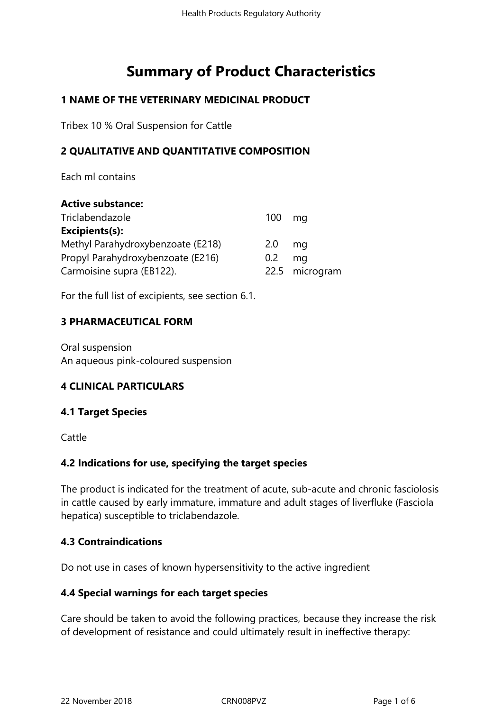# **Summary of Product Characteristics**

# **1 NAME OF THE VETERINARY MEDICINAL PRODUCT**

Tribex 10 % Oral Suspension for Cattle

# **2 QUALITATIVE AND QUANTITATIVE COMPOSITION**

Each ml contains

| <b>Active substance:</b>          |                  |                |
|-----------------------------------|------------------|----------------|
| Triclabendazole                   | 100              | mq             |
| Excipients(s):                    |                  |                |
| Methyl Parahydroxybenzoate (E218) | 2.0 <sub>2</sub> | ma             |
| Propyl Parahydroxybenzoate (E216) | $0.2^{\circ}$    | ma             |
| Carmoisine supra (EB122).         |                  | 22.5 microgram |

For the full list of excipients, see section 6.1.

#### **3 PHARMACEUTICAL FORM**

Oral suspension An aqueous pink-coloured suspension

## **4 CLINICAL PARTICULARS**

#### **4.1 Target Species**

**Cattle** 

## **4.2 Indications for use, specifying the target species**

The product is indicated for the treatment of acute, sub-acute and chronic fasciolosis in cattle caused by early immature, immature and adult stages of liverfluke (Fasciola hepatica) susceptible to triclabendazole.

## **4.3 Contraindications**

Do not use in cases of known hypersensitivity to the active ingredient

#### **4.4 Special warnings for each target species**

Care should be taken to avoid the following practices, because they increase the risk of development of resistance and could ultimately result in ineffective therapy: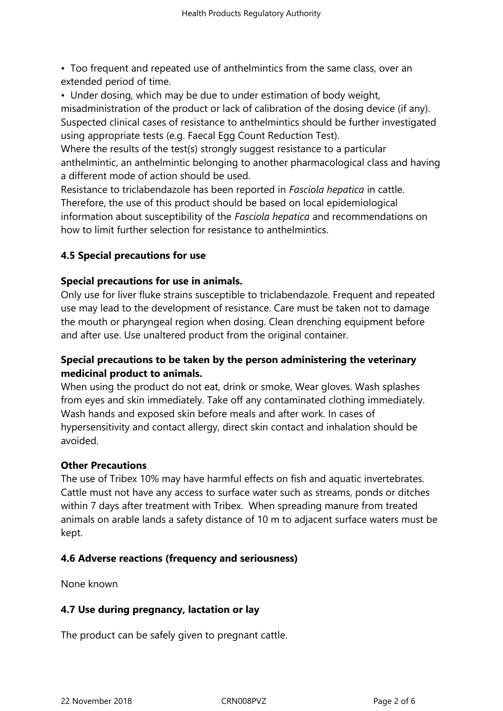• Too frequent and repeated use of anthelmintics from the same class, over an extended period of time.

• Under dosing, which may be due to under estimation of body weight, misadministration of the product or lack of calibration of the dosing device (if any). Suspected clinical cases of resistance to anthelmintics should be further investigated using appropriate tests (e.g. Faecal Egg Count Reduction Test).

Where the results of the test(s) strongly suggest resistance to a particular anthelmintic, an anthelmintic belonging to another pharmacological class and having a different mode of action should be used.

Resistance to triclabendazole has been reported in *Fasciola hepatica* in cattle. Therefore, the use of this product should be based on local epidemiological information about susceptibility of the *Fasciola hepatica* and recommendations on how to limit further selection for resistance to anthelmintics.

# **4.5 Special precautions for use**

#### **Special precautions for use in animals.**

Only use for liver fluke strains susceptible to triclabendazole. Frequent and repeated use may lead to the development of resistance. Care must be taken not to damage the mouth or pharyngeal region when dosing. Clean drenching equipment before and after use. Use unaltered product from the original container.

# **Special precautions to be taken by the person administering the veterinary medicinal product to animals.**

When using the product do not eat, drink or smoke, Wear gloves. Wash splashes from eyes and skin immediately. Take off any contaminated clothing immediately. Wash hands and exposed skin before meals and after work. In cases of hypersensitivity and contact allergy, direct skin contact and inhalation should be avoided.

#### **Other Precautions**

The use of Tribex 10% may have harmful effects on fish and aquatic invertebrates. Cattle must not have any access to surface water such as streams, ponds or ditches within 7 days after treatment with Tribex. When spreading manure from treated animals on arable lands a safety distance of 10 m to adjacent surface waters must be kept.

## **4.6 Adverse reactions (frequency and seriousness)**

None known

## **4.7 Use during pregnancy, lactation or lay**

The product can be safely given to pregnant cattle.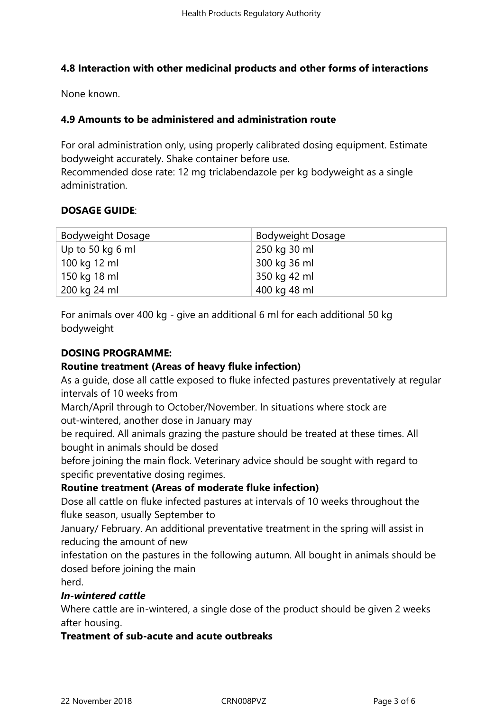## **4.8 Interaction with other medicinal products and other forms of interactions**

None known.

# **4.9 Amounts to be administered and administration route**

For oral administration only, using properly calibrated dosing equipment. Estimate bodyweight accurately. Shake container before use.

Recommended dose rate: 12 mg triclabendazole per kg bodyweight as a single administration.

## **DOSAGE GUIDE**:

| <b>Bodyweight Dosage</b> | <b>Bodyweight Dosage</b> |
|--------------------------|--------------------------|
| Up to 50 kg 6 ml         | 250 kg 30 ml             |
| 100 kg 12 ml             | 300 kg 36 ml             |
| 150 kg 18 ml             | 350 kg 42 ml             |
| 200 kg 24 ml             | 400 kg 48 ml             |

For animals over 400 kg - give an additional 6 ml for each additional 50 kg bodyweight

## **DOSING PROGRAMME:**

## **Routine treatment (Areas of heavy fluke infection)**

As a guide, dose all cattle exposed to fluke infected pastures preventatively at regular intervals of 10 weeks from

March/April through to October/November. In situations where stock are out-wintered, another dose in January may

be required. All animals grazing the pasture should be treated at these times. All bought in animals should be dosed

before joining the main flock. Veterinary advice should be sought with regard to specific preventative dosing regimes.

## **Routine treatment (Areas of moderate fluke infection)**

Dose all cattle on fluke infected pastures at intervals of 10 weeks throughout the fluke season, usually September to

January/ February. An additional preventative treatment in the spring will assist in reducing the amount of new

infestation on the pastures in the following autumn. All bought in animals should be dosed before joining the main

herd.

## *In-wintered cattle*

Where cattle are in-wintered, a single dose of the product should be given 2 weeks after housing.

## **Treatment of sub-acute and acute outbreaks**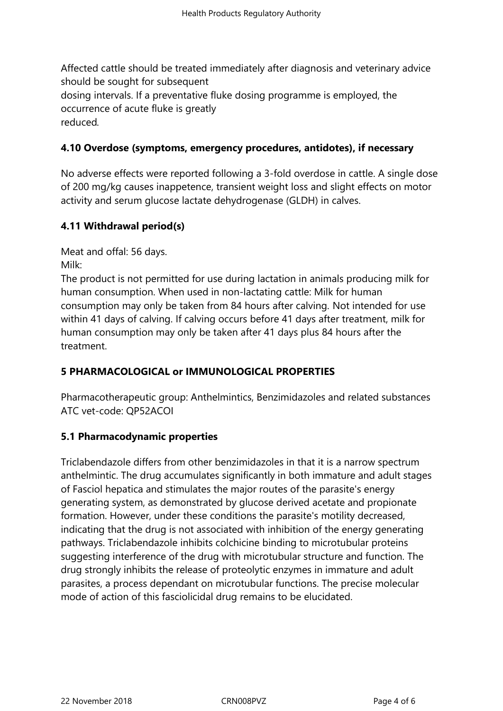Affected cattle should be treated immediately after diagnosis and veterinary advice should be sought for subsequent dosing intervals. If a preventative fluke dosing programme is employed, the occurrence of acute fluke is greatly reduced*.*

# **4.10 Overdose (symptoms, emergency procedures, antidotes), if necessary**

No adverse effects were reported following a 3-fold overdose in cattle. A single dose of 200 mg/kg causes inappetence, transient weight loss and slight effects on motor activity and serum glucose lactate dehydrogenase (GLDH) in calves.

# **4.11 Withdrawal period(s)**

Meat and offal: 56 days. Milk:

The product is not permitted for use during lactation in animals producing milk for human consumption. When used in non-lactating cattle: Milk for human consumption may only be taken from 84 hours after calving. Not intended for use within 41 days of calving. If calving occurs before 41 days after treatment, milk for human consumption may only be taken after 41 days plus 84 hours after the treatment.

# **5 PHARMACOLOGICAL or IMMUNOLOGICAL PROPERTIES**

Pharmacotherapeutic group: Anthelmintics, Benzimidazoles and related substances ATC vet-code: QP52ACOI

## **5.1 Pharmacodynamic properties**

Triclabendazole differs from other benzimidazoles in that it is a narrow spectrum anthelmintic. The drug accumulates significantly in both immature and adult stages of Fasciol hepatica and stimulates the major routes of the parasite's energy generating system, as demonstrated by glucose derived acetate and propionate formation. However, under these conditions the parasite's motility decreased, indicating that the drug is not associated with inhibition of the energy generating pathways. Triclabendazole inhibits colchicine binding to microtubular proteins suggesting interference of the drug with microtubular structure and function. The drug strongly inhibits the release of proteolytic enzymes in immature and adult parasites, a process dependant on microtubular functions. The precise molecular mode of action of this fasciolicidal drug remains to be elucidated.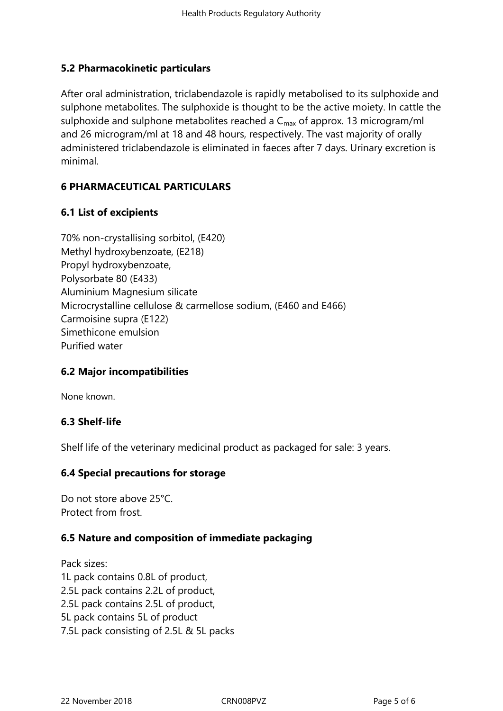# **5.2 Pharmacokinetic particulars**

After oral administration, triclabendazole is rapidly metabolised to its sulphoxide and sulphone metabolites. The sulphoxide is thought to be the active moiety. In cattle the sulphoxide and sulphone metabolites reached a  $C_{\text{max}}$  of approx. 13 microgram/ml and 26 microgram/ml at 18 and 48 hours, respectively. The vast majority of orally administered triclabendazole is eliminated in faeces after 7 days. Urinary excretion is minimal.

# **6 PHARMACEUTICAL PARTICULARS**

## **6.1 List of excipients**

70% non-crystallising sorbitol, (E420) Methyl hydroxybenzoate, (E218) Propyl hydroxybenzoate, Polysorbate 80 (E433) Aluminium Magnesium silicate Microcrystalline cellulose & carmellose sodium, (E460 and E466) Carmoisine supra (E122) Simethicone emulsion Purified water

## **6.2 Major incompatibilities**

None known.

## **6.3 Shelf-life**

Shelf life of the veterinary medicinal product as packaged for sale: 3 years.

## **6.4 Special precautions for storage**

Do not store above 25°C. Protect from frost.

## **6.5 Nature and composition of immediate packaging**

Pack sizes: 1L pack contains 0.8L of product, 2.5L pack contains 2.2L of product, 2.5L pack contains 2.5L of product, 5L pack contains 5L of product 7.5L pack consisting of 2.5L & 5L packs